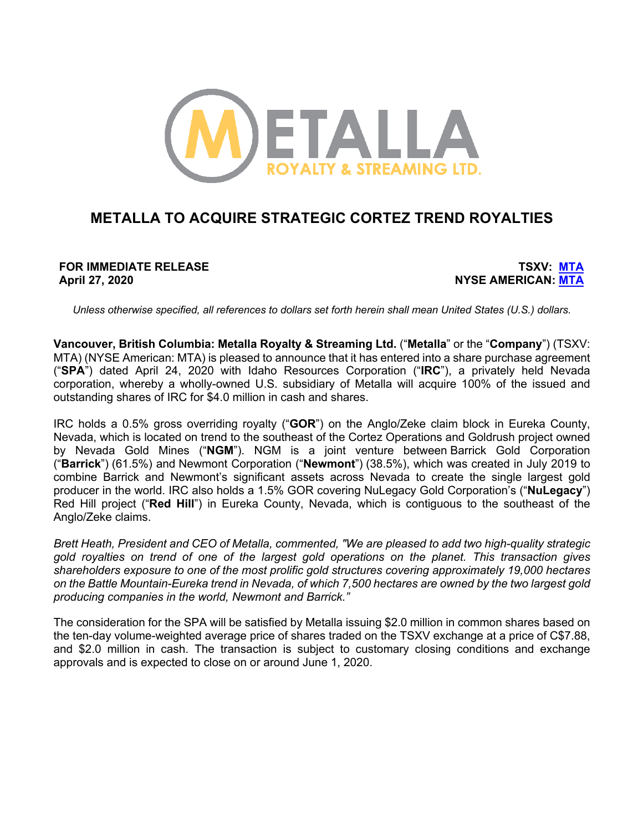

# **METALLA TO ACQUIRE STRATEGIC CORTEZ TREND ROYALTIES**

**FOR IMMEDIATE RELEASE TSXV: MTA April 27, 2020 NYSE AMERICAN: MTA**

*Unless otherwise specified, all references to dollars set forth herein shall mean United States (U.S.) dollars.*

**Vancouver, British Columbia: Metalla Royalty & Streaming Ltd.** ("**Metalla**" or the "**Company**") (TSXV: MTA) (NYSE American: MTA) is pleased to announce that it has entered into a share purchase agreement ("**SPA**") dated April 24, 2020 with Idaho Resources Corporation ("**IRC**"), a privately held Nevada corporation, whereby a wholly-owned U.S. subsidiary of Metalla will acquire 100% of the issued and outstanding shares of IRC for \$4.0 million in cash and shares.

IRC holds a 0.5% gross overriding royalty ("**GOR**") on the Anglo/Zeke claim block in Eureka County, Nevada, which is located on trend to the southeast of the Cortez Operations and Goldrush project owned by Nevada Gold Mines ("**NGM**"). NGM is a joint venture between Barrick Gold Corporation ("**Barrick**") (61.5%) and Newmont Corporation ("**Newmont**") (38.5%), which was created in July 2019 to combine Barrick and Newmont's significant assets across Nevada to create the single largest gold producer in the world. IRC also holds a 1.5% GOR covering NuLegacy Gold Corporation's ("**NuLegacy**") Red Hill project ("**Red Hill**") in Eureka County, Nevada, which is contiguous to the southeast of the Anglo/Zeke claims.

*Brett Heath, President and CEO of Metalla, commented, "We are pleased to add two high-quality strategic gold royalties on trend of one of the largest gold operations on the planet. This transaction gives shareholders exposure to one of the most prolific gold structures covering approximately 19,000 hectares on the Battle Mountain-Eureka trend in Nevada, of which 7,500 hectares are owned by the two largest gold producing companies in the world, Newmont and Barrick."*

The consideration for the SPA will be satisfied by Metalla issuing \$2.0 million in common shares based on the ten-day volume-weighted average price of shares traded on the TSXV exchange at a price of C\$7.88, and \$2.0 million in cash. The transaction is subject to customary closing conditions and exchange approvals and is expected to close on or around June 1, 2020.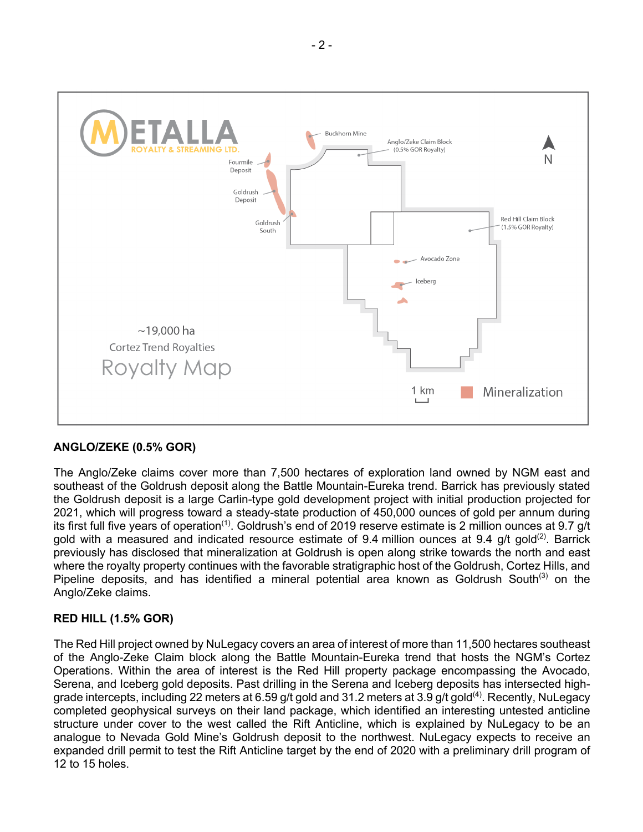

### **ANGLO/ZEKE (0.5% GOR)**

The Anglo/Zeke claims cover more than 7,500 hectares of exploration land owned by NGM east and southeast of the Goldrush deposit along the Battle Mountain-Eureka trend. Barrick has previously stated the Goldrush deposit is a large Carlin-type gold development project with initial production projected for 2021, which will progress toward a steady-state production of 450,000 ounces of gold per annum during its first full five years of operation<sup>(1)</sup>. Goldrush's end of 2019 reserve estimate is 2 million ounces at 9.7 g/t gold with a measured and indicated resource estimate of 9.4 million ounces at 9.4 g/t gold<sup>(2)</sup>. Barrick previously has disclosed that mineralization at Goldrush is open along strike towards the north and east where the royalty property continues with the favorable stratigraphic host of the Goldrush, Cortez Hills, and Pipeline deposits, and has identified a mineral potential area known as Goldrush South<sup>(3)</sup> on the Anglo/Zeke claims.

### **RED HILL (1.5% GOR)**

The Red Hill project owned by NuLegacy covers an area of interest of more than 11,500 hectares southeast of the Anglo-Zeke Claim block along the Battle Mountain-Eureka trend that hosts the NGM's Cortez Operations. Within the area of interest is the Red Hill property package encompassing the Avocado, Serena, and Iceberg gold deposits. Past drilling in the Serena and Iceberg deposits has intersected highgrade intercepts, including 22 meters at 6.59 g/t gold and 31.2 meters at 3.9 g/t gold<sup>(4)</sup>. Recently, NuLegacy completed geophysical surveys on their land package, which identified an interesting untested anticline structure under cover to the west called the Rift Anticline, which is explained by NuLegacy to be an analogue to Nevada Gold Mine's Goldrush deposit to the northwest. NuLegacy expects to receive an expanded drill permit to test the Rift Anticline target by the end of 2020 with a preliminary drill program of 12 to 15 holes.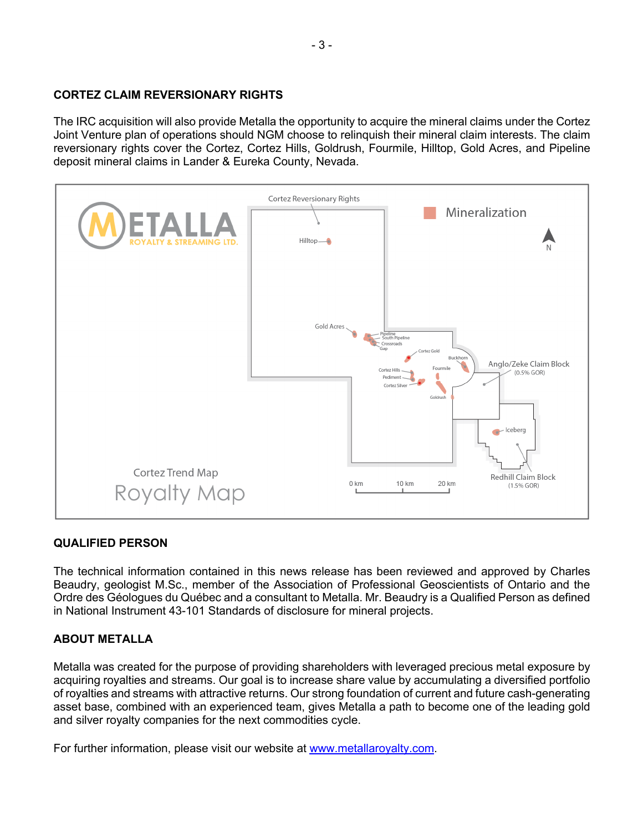## **CORTEZ CLAIM REVERSIONARY RIGHTS**

The IRC acquisition will also provide Metalla the opportunity to acquire the mineral claims under the Cortez Joint Venture plan of operations should NGM choose to relinquish their mineral claim interests. The claim reversionary rights cover the Cortez, Cortez Hills, Goldrush, Fourmile, Hilltop, Gold Acres, and Pipeline deposit mineral claims in Lander & Eureka County, Nevada.



### **QUALIFIED PERSON**

The technical information contained in this news release has been reviewed and approved by Charles Beaudry, geologist M.Sc., member of the Association of Professional Geoscientists of Ontario and the Ordre des Géologues du Québec and a consultant to Metalla. Mr. Beaudry is a Qualified Person as defined in National Instrument 43-101 Standards of disclosure for mineral projects.

# **ABOUT METALLA**

Metalla was created for the purpose of providing shareholders with leveraged precious metal exposure by acquiring royalties and streams. Our goal is to increase share value by accumulating a diversified portfolio of royalties and streams with attractive returns. Our strong foundation of current and future cash-generating asset base, combined with an experienced team, gives Metalla a path to become one of the leading gold and silver royalty companies for the next commodities cycle.

For further information, please visit our website at www.metallaroyalty.com.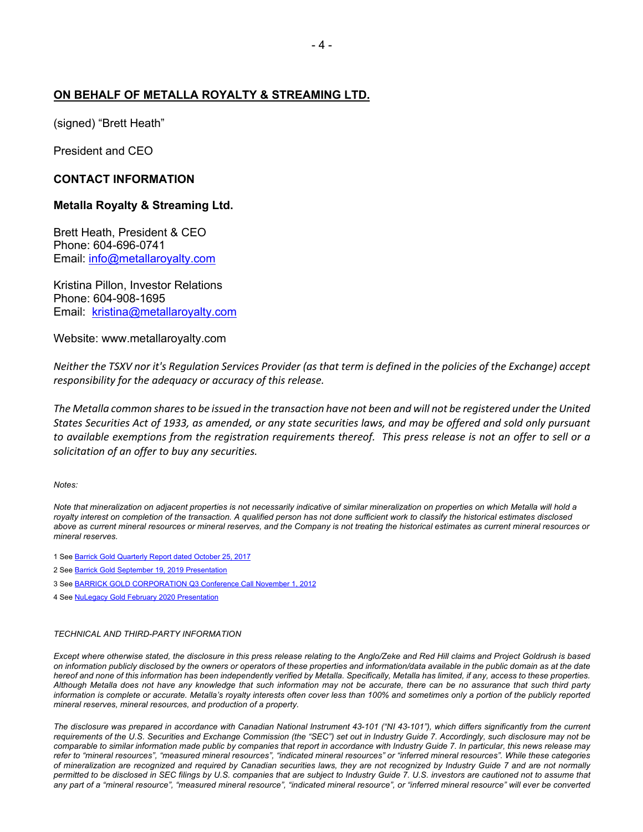### **ON BEHALF OF METALLA ROYALTY & STREAMING LTD.**

(signed) "Brett Heath"

President and CEO

#### **CONTACT INFORMATION**

#### **Metalla Royalty & Streaming Ltd.**

Brett Heath, President & CEO Phone: 604-696-0741 Email: info@metallaroyalty.com

Kristina Pillon, Investor Relations Phone: 604-908-1695 Email: kristina@metallaroyalty.com

Website: www.metallaroyalty.com

*Neither the TSXV nor it's Regulation Services Provider (as that term is defined in the policies of the Exchange) accept responsibility for the adequacy or accuracy of this release.*

*The Metalla common shares to be issued in the transaction have not been and will not be registered under the United States Securities Act of 1933, as amended, or any state securities laws, and may be offered and sold only pursuant to available exemptions from the registration requirements thereof. This press release is not an offer to sell or a solicitation of an offer to buy any securities.*

#### *Notes:*

*Note that mineralization on adjacent properties is not necessarily indicative of similar mineralization on properties on which Metalla will hold a royalty interest on completion of the transaction. A qualified person has not done sufficient work to classify the historical estimates disclosed above as current mineral resources or mineral reserves, and the Company is not treating the historical estimates as current mineral resources or mineral reserves.*

1 See Barrick Gold Quarterly Report dated October 25, 2017

- 2 See Barrick Gold September 19, 2019 Presentation
- 3 See BARRICK GOLD CORPORATION Q3 Conference Call November 1, 2012
- 4 See NuLegacy Gold February 2020 Presentation

#### *TECHNICAL AND THIRD-PARTY INFORMATION*

*Except where otherwise stated, the disclosure in this press release relating to the Anglo/Zeke and Red Hill claims and Project Goldrush is based on information publicly disclosed by the owners or operators of these properties and information/data available in the public domain as at the date*  hereof and none of this information has been independently verified by Metalla. Specifically, Metalla has limited, if any, access to these properties. *Although Metalla does not have any knowledge that such information may not be accurate, there can be no assurance that such third party information is complete or accurate. Metalla's royalty interests often cover less than 100% and sometimes only a portion of the publicly reported mineral reserves, mineral resources, and production of a property.* 

*The disclosure was prepared in accordance with Canadian National Instrument 43-101 ("NI 43-101"), which differs significantly from the current requirements of the U.S. Securities and Exchange Commission (the "SEC") set out in Industry Guide 7. Accordingly, such disclosure may not be comparable to similar information made public by companies that report in accordance with Industry Guide 7. In particular, this news release may refer to "mineral resources", "measured mineral resources", "indicated mineral resources" or "inferred mineral resources". While these categories of mineralization are recognized and required by Canadian securities laws, they are not recognized by Industry Guide 7 and are not normally permitted to be disclosed in SEC filings by U.S. companies that are subject to Industry Guide 7. U.S. investors are cautioned not to assume that any part of a "mineral resource", "measured mineral resource", "indicated mineral resource", or "inferred mineral resource" will ever be converted*